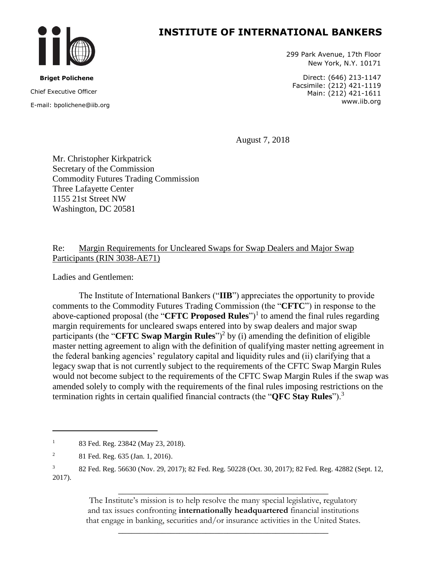

 **Briget Polichene** Chief Executive Officer E-mail: bpolichene@iib.org 299 Park Avenue, 17th Floor New York, N.Y. 10171

Direct: (646) 213-1147 Facsimile: (212) 421-1119 Main: (212) 421-1611 www.iib.org

August 7, 2018

Mr. Christopher Kirkpatrick Secretary of the Commission Commodity Futures Trading Commission Three Lafayette Center 1155 21st Street NW Washington, DC 20581

#### Re: Margin Requirements for Uncleared Swaps for Swap Dealers and Major Swap Participants (RIN 3038-AE71)

Ladies and Gentlemen:

The Institute of International Bankers ("**IIB**") appreciates the opportunity to provide comments to the Commodity Futures Trading Commission (the "**CFTC**") in response to the above-captioned proposal (the "**CFTC Proposed Rules**")<sup>1</sup> to amend the final rules regarding margin requirements for uncleared swaps entered into by swap dealers and major swap participants (the "**CFTC Swap Margin Rules**")<sup>2</sup> by (i) amending the definition of eligible master netting agreement to align with the definition of qualifying master netting agreement in the federal banking agencies' regulatory capital and liquidity rules and (ii) clarifying that a legacy swap that is not currently subject to the requirements of the CFTC Swap Margin Rules would not become subject to the requirements of the CFTC Swap Margin Rules if the swap was amended solely to comply with the requirements of the final rules imposing restrictions on the termination rights in certain qualified financial contracts (the "**QFC Stay Rules**").<sup>3</sup>

 $\overline{\phantom{a}}$ 

\_\_\_\_\_\_\_\_\_\_\_\_\_\_\_\_\_\_\_\_\_\_\_\_\_\_\_\_\_\_\_\_\_\_\_\_\_\_\_\_\_\_\_\_\_\_\_\_ The Institute's mission is to help resolve the many special legislative, regulatory and tax issues confronting **internationally headquartered** financial institutions that engage in banking, securities and/or insurance activities in the United States.

\_\_\_\_\_\_\_\_\_\_\_\_\_\_\_\_\_\_\_\_\_\_\_\_\_\_\_\_\_\_\_\_\_\_\_\_\_\_\_\_\_\_\_\_\_\_\_\_

<sup>&</sup>lt;sup>1</sup> 83 Fed. Reg. 23842 (May 23, 2018).

<sup>2</sup> 81 Fed. Reg. 635 (Jan. 1, 2016).

<sup>3</sup> 82 Fed. Reg. 56630 (Nov. 29, 2017); 82 Fed. Reg. 50228 (Oct. 30, 2017); 82 Fed. Reg. 42882 (Sept. 12, 2017).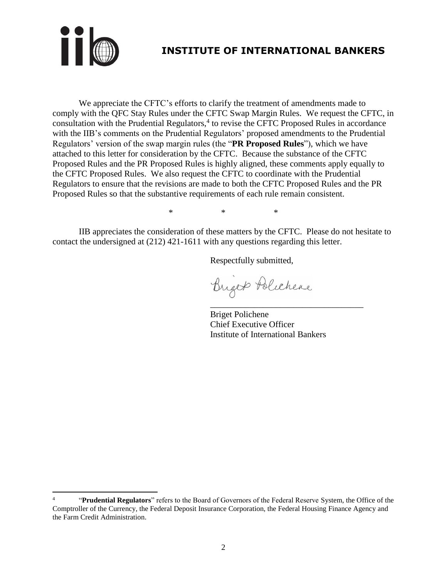

 $\overline{\phantom{a}}$ 

# **INSTITUTE OF INTERNATIONAL BANKERS**

We appreciate the CFTC's efforts to clarify the treatment of amendments made to comply with the QFC Stay Rules under the CFTC Swap Margin Rules. We request the CFTC, in consultation with the Prudential Regulators, $4$  to revise the CFTC Proposed Rules in accordance with the IIB's comments on the Prudential Regulators' proposed amendments to the Prudential Regulators' version of the swap margin rules (the "**PR Proposed Rules**"), which we have attached to this letter for consideration by the CFTC. Because the substance of the CFTC Proposed Rules and the PR Proposed Rules is highly aligned, these comments apply equally to the CFTC Proposed Rules. We also request the CFTC to coordinate with the Prudential Regulators to ensure that the revisions are made to both the CFTC Proposed Rules and the PR Proposed Rules so that the substantive requirements of each rule remain consistent.

\* \* \*

IIB appreciates the consideration of these matters by the CFTC. Please do not hesitate to contact the undersigned at (212) 421-1611 with any questions regarding this letter.

Respectfully submitted,

Briger Policheae

Briget Polichene Chief Executive Officer Institute of International Bankers

\_\_\_\_\_\_\_\_\_\_\_\_\_\_\_\_\_\_\_\_\_\_\_\_\_\_\_\_\_\_\_\_\_\_\_

<sup>4</sup> "**Prudential Regulators**" refers to the Board of Governors of the Federal Reserve System, the Office of the Comptroller of the Currency, the Federal Deposit Insurance Corporation, the Federal Housing Finance Agency and the Farm Credit Administration.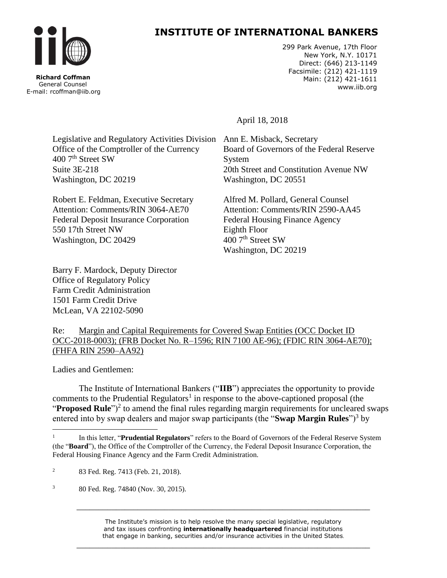

 **Richard Coffman** General Counsel E-mail: rcoffman@iib.org

### **INSTITUTE OF INTERNATIONAL BANKERS**

299 Park Avenue, 17th Floor New York, N.Y. 10171 Direct: (646) 213-1149 Facsimile: (212) 421-1119 Main: (212) 421-1611 www.iib.org

April 18, 2018

Legislative and Regulatory Activities Division Office of the Comptroller of the Currency 400 7<sup>th</sup> Street SW Suite 3E-218 Washington, DC 20219

Robert E. Feldman, Executive Secretary Attention: Comments/RIN 3064-AE70 Federal Deposit Insurance Corporation 550 17th Street NW Washington, DC 20429

Barry F. Mardock, Deputy Director Office of Regulatory Policy Farm Credit Administration 1501 Farm Credit Drive McLean, VA 22102-5090

Ann E. Misback, Secretary Board of Governors of the Federal Reserve System 20th Street and Constitution Avenue NW Washington, DC 20551

Alfred M. Pollard, General Counsel Attention: Comments/RIN 2590-AA45 Federal Housing Finance Agency Eighth Floor 400 7<sup>th</sup> Street SW Washington, DC 20219

Re: Margin and Capital Requirements for Covered Swap Entities (OCC Docket ID OCC-2018-0003); (FRB Docket No. R–1596; RIN 7100 AE-96); (FDIC RIN 3064-AE70); (FHFA RIN 2590–AA92)

Ladies and Gentlemen:

 $\overline{a}$ 

The Institute of International Bankers ("**IIB**") appreciates the opportunity to provide comments to the Prudential Regulators<sup>1</sup> in response to the above-captioned proposal (the "Proposed Rule")<sup>2</sup> to amend the final rules regarding margin requirements for uncleared swaps entered into by swap dealers and major swap participants (the "**Swap Margin Rules**")<sup>3</sup> by

<sup>3</sup> 80 Fed. Reg. 74840 (Nov. 30, 2015).

The Institute's mission is to help resolve the many special legislative, regulatory and tax issues confronting **internationally headquartered** financial institutions that engage in banking, securities and/or insurance activities in the United States.

\_\_\_\_\_\_\_\_\_\_\_\_\_\_\_\_\_\_\_\_\_\_\_\_\_\_\_\_\_\_\_\_\_\_\_\_\_\_\_\_\_\_\_\_\_\_\_\_\_\_\_\_\_\_\_\_\_\_\_\_\_\_\_\_\_\_\_

\_\_\_\_\_\_\_\_\_\_\_\_\_\_\_\_\_\_\_\_\_\_\_\_\_\_\_\_\_\_\_\_\_\_\_\_\_\_\_\_\_\_\_\_\_\_\_\_\_\_\_\_\_\_\_\_\_\_\_\_\_\_\_\_\_\_\_

<sup>1</sup> In this letter, "**Prudential Regulators**" refers to the Board of Governors of the Federal Reserve System (the "**Board**"), the Office of the Comptroller of the Currency, the Federal Deposit Insurance Corporation, the Federal Housing Finance Agency and the Farm Credit Administration.

<sup>&</sup>lt;sup>2</sup> 83 Fed. Reg. 7413 (Feb. 21, 2018).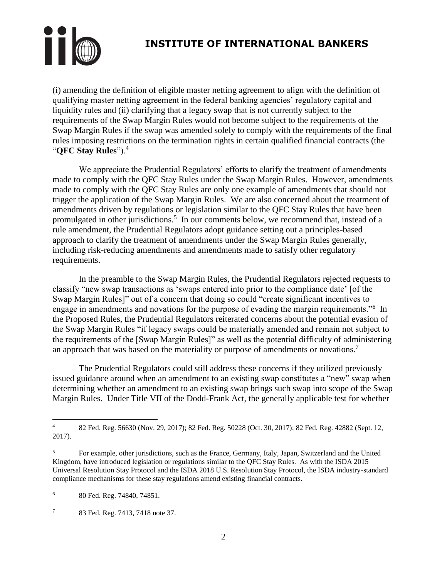

(i) amending the definition of eligible master netting agreement to align with the definition of qualifying master netting agreement in the federal banking agencies' regulatory capital and liquidity rules and (ii) clarifying that a legacy swap that is not currently subject to the requirements of the Swap Margin Rules would not become subject to the requirements of the Swap Margin Rules if the swap was amended solely to comply with the requirements of the final rules imposing restrictions on the termination rights in certain qualified financial contracts (the "**QFC Stay Rules**").<sup>4</sup>

We appreciate the Prudential Regulators' efforts to clarify the treatment of amendments made to comply with the QFC Stay Rules under the Swap Margin Rules. However, amendments made to comply with the QFC Stay Rules are only one example of amendments that should not trigger the application of the Swap Margin Rules. We are also concerned about the treatment of amendments driven by regulations or legislation similar to the QFC Stay Rules that have been promulgated in other jurisdictions.<sup>5</sup> In our comments below, we recommend that, instead of a rule amendment, the Prudential Regulators adopt guidance setting out a principles-based approach to clarify the treatment of amendments under the Swap Margin Rules generally, including risk-reducing amendments and amendments made to satisfy other regulatory requirements.

In the preamble to the Swap Margin Rules, the Prudential Regulators rejected requests to classify "new swap transactions as 'swaps entered into prior to the compliance date' [of the Swap Margin Rules]" out of a concern that doing so could "create significant incentives to engage in amendments and novations for the purpose of evading the margin requirements."<sup>6</sup> In the Proposed Rules, the Prudential Regulators reiterated concerns about the potential evasion of the Swap Margin Rules "if legacy swaps could be materially amended and remain not subject to the requirements of the [Swap Margin Rules]" as well as the potential difficulty of administering an approach that was based on the materiality or purpose of amendments or novations.<sup>7</sup>

The Prudential Regulators could still address these concerns if they utilized previously issued guidance around when an amendment to an existing swap constitutes a "new" swap when determining whether an amendment to an existing swap brings such swap into scope of the Swap Margin Rules. Under Title VII of the Dodd-Frank Act, the generally applicable test for whether

 $\overline{4}$ <sup>4</sup> 82 Fed. Reg. 56630 (Nov. 29, 2017); 82 Fed. Reg. 50228 (Oct. 30, 2017); 82 Fed. Reg. 42882 (Sept. 12, 2017).

<sup>5</sup> For example, other jurisdictions, such as the France, Germany, Italy, Japan, Switzerland and the United Kingdom, have introduced legislation or regulations similar to the QFC Stay Rules. As with the ISDA 2015 Universal Resolution Stay Protocol and the ISDA 2018 U.S. Resolution Stay Protocol, the ISDA industry-standard compliance mechanisms for these stay regulations amend existing financial contracts.

<sup>6</sup> 80 Fed. Reg. 74840, 74851.

<sup>7</sup> 83 Fed. Reg. 7413, 7418 note 37.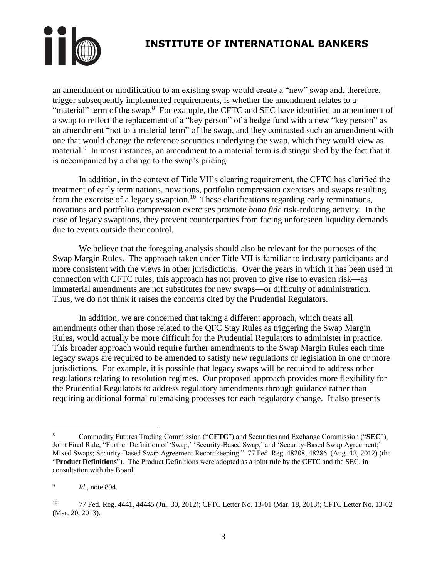

an amendment or modification to an existing swap would create a "new" swap and, therefore, trigger subsequently implemented requirements, is whether the amendment relates to a "material" term of the swap.<sup>8</sup> For example, the CFTC and SEC have identified an amendment of a swap to reflect the replacement of a "key person" of a hedge fund with a new "key person" as an amendment "not to a material term" of the swap, and they contrasted such an amendment with one that would change the reference securities underlying the swap, which they would view as material.<sup>9</sup> In most instances, an amendment to a material term is distinguished by the fact that it is accompanied by a change to the swap's pricing.

In addition, in the context of Title VII's clearing requirement, the CFTC has clarified the treatment of early terminations, novations, portfolio compression exercises and swaps resulting from the exercise of a legacy swaption.<sup>10</sup> These clarifications regarding early terminations, novations and portfolio compression exercises promote *bona fide* risk-reducing activity. In the case of legacy swaptions, they prevent counterparties from facing unforeseen liquidity demands due to events outside their control.

We believe that the foregoing analysis should also be relevant for the purposes of the Swap Margin Rules. The approach taken under Title VII is familiar to industry participants and more consistent with the views in other jurisdictions. Over the years in which it has been used in connection with CFTC rules, this approach has not proven to give rise to evasion risk—as immaterial amendments are not substitutes for new swaps—or difficulty of administration. Thus, we do not think it raises the concerns cited by the Prudential Regulators.

In addition, we are concerned that taking a different approach, which treats all amendments other than those related to the QFC Stay Rules as triggering the Swap Margin Rules, would actually be more difficult for the Prudential Regulators to administer in practice. This broader approach would require further amendments to the Swap Margin Rules each time legacy swaps are required to be amended to satisfy new regulations or legislation in one or more jurisdictions. For example, it is possible that legacy swaps will be required to address other regulations relating to resolution regimes. Our proposed approach provides more flexibility for the Prudential Regulators to address regulatory amendments through guidance rather than requiring additional formal rulemaking processes for each regulatory change. It also presents

 $\overline{a}$ 

<sup>8</sup> Commodity Futures Trading Commission ("**CFTC**") and Securities and Exchange Commission ("**SEC**"), Joint Final Rule, "Further Definition of 'Swap,' 'Security-Based Swap,' and 'Security-Based Swap Agreement;' Mixed Swaps; Security-Based Swap Agreement Recordkeeping." 77 Fed. Reg. 48208, 48286 (Aug. 13, 2012) (the "**Product Definitions**"). The Product Definitions were adopted as a joint rule by the CFTC and the SEC, in consultation with the Board.

<sup>9</sup> *Id.*, note 894.

<sup>10</sup> 77 Fed. Reg. 4441, 44445 (Jul. 30, 2012); CFTC Letter No. 13-01 (Mar. 18, 2013); CFTC Letter No. 13-02 (Mar. 20, 2013).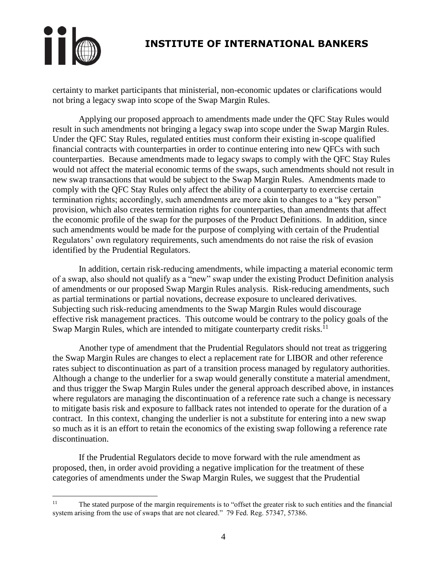

 $\overline{a}$ 

# **INSTITUTE OF INTERNATIONAL BANKERS**

certainty to market participants that ministerial, non-economic updates or clarifications would not bring a legacy swap into scope of the Swap Margin Rules.

Applying our proposed approach to amendments made under the QFC Stay Rules would result in such amendments not bringing a legacy swap into scope under the Swap Margin Rules. Under the QFC Stay Rules, regulated entities must conform their existing in-scope qualified financial contracts with counterparties in order to continue entering into new QFCs with such counterparties. Because amendments made to legacy swaps to comply with the QFC Stay Rules would not affect the material economic terms of the swaps, such amendments should not result in new swap transactions that would be subject to the Swap Margin Rules. Amendments made to comply with the QFC Stay Rules only affect the ability of a counterparty to exercise certain termination rights; accordingly, such amendments are more akin to changes to a "key person" provision, which also creates termination rights for counterparties, than amendments that affect the economic profile of the swap for the purposes of the Product Definitions. In addition, since such amendments would be made for the purpose of complying with certain of the Prudential Regulators' own regulatory requirements, such amendments do not raise the risk of evasion identified by the Prudential Regulators.

In addition, certain risk-reducing amendments, while impacting a material economic term of a swap, also should not qualify as a "new" swap under the existing Product Definition analysis of amendments or our proposed Swap Margin Rules analysis. Risk-reducing amendments, such as partial terminations or partial novations, decrease exposure to uncleared derivatives. Subjecting such risk-reducing amendments to the Swap Margin Rules would discourage effective risk management practices. This outcome would be contrary to the policy goals of the Swap Margin Rules, which are intended to mitigate counterparty credit risks.<sup>11</sup>

Another type of amendment that the Prudential Regulators should not treat as triggering the Swap Margin Rules are changes to elect a replacement rate for LIBOR and other reference rates subject to discontinuation as part of a transition process managed by regulatory authorities. Although a change to the underlier for a swap would generally constitute a material amendment, and thus trigger the Swap Margin Rules under the general approach described above, in instances where regulators are managing the discontinuation of a reference rate such a change is necessary to mitigate basis risk and exposure to fallback rates not intended to operate for the duration of a contract. In this context, changing the underlier is not a substitute for entering into a new swap so much as it is an effort to retain the economics of the existing swap following a reference rate discontinuation.

If the Prudential Regulators decide to move forward with the rule amendment as proposed, then, in order avoid providing a negative implication for the treatment of these categories of amendments under the Swap Margin Rules, we suggest that the Prudential

<sup>&</sup>lt;sup>11</sup> The stated purpose of the margin requirements is to "offset the greater risk to such entities and the financial system arising from the use of swaps that are not cleared." 79 Fed. Reg. 57347, 57386.